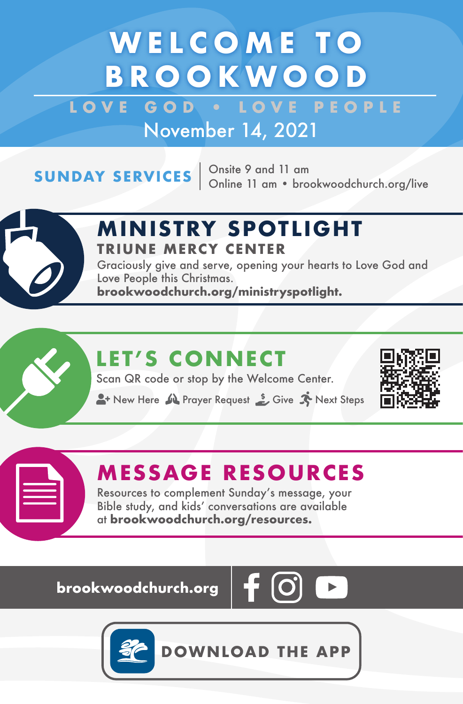# **WELCOME TO BROOKWOOD**

LOVE GOD **. LOVE PEOPLE** November 14, 2021

**SUNDAY SERVICES**  $\begin{array}{r}$  Onsite 9 and 11 am<br>Online 11 am • brookwoodchurch.org/live



## **M IN ISTRY SPOTL IGHT TRIUNE MERCY CENTER**

Graciously give and serve, opening your hearts to Love God and Love People this Christmas. **brookwoodchurch.org/ministryspotlight.**

## **LET'S CONNECT**

Scan QR code or stop by the Welcome Center.

**A**+ New Here  $\mathbf{M}$  Prayer Request  $\mathbf{S}$  Give  $\mathbf{N}$  Next Steps



### **MESSAGE RESOURCES**

Resources to complement Sunday's message, your Bible study, and kids' conversations are available at **brookwoodchurch.org/resources.**

**brookwoodchurch.org** 





**DOWNLOAD THE APP**